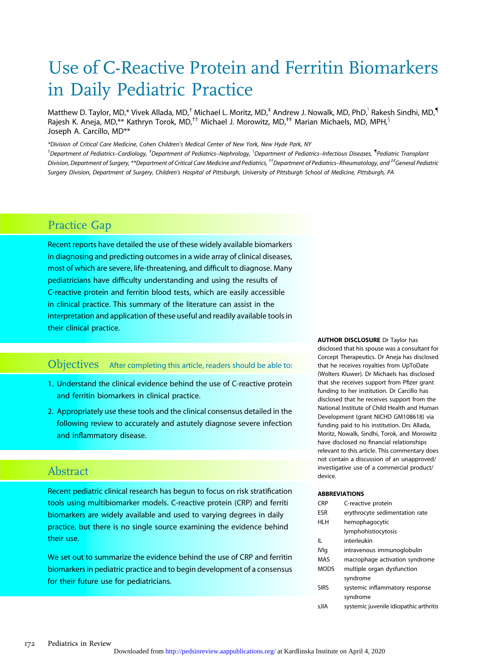# Use of C-Reactive Protein and Ferritin Biomarkers in Daily Pediatric Practice

Matthew D. Taylor, MD,\* Vivek Allada, MD,<sup>†</sup> Michael L. Moritz, MD,<sup>‡</sup> Andrew J. Nowalk, MD, PhD, $^{\$}$ Rakesh Sindhi, MD, $^{\$}$ Rajesh K. Aneja, MD,\*\* Kathryn Torok, MD,<sup>††</sup> Michael J. Morowitz, MD,<sup>‡‡</sup> Marian Michaels, MD, MPH,<sup>§</sup> Joseph A. Carcillo, MD\*\*

\*Division of Critical Care Medicine, Cohen Children's Medical Center of New York, New Hyde Park, NY

<sup>†</sup>Department of Pediatrics–Cardiology, <sup>‡</sup>Department of Pediatrics–Nephrology, <sup>§</sup>Department of Pediatrics–Infectious Diseases, <sup>¶</sup>Pediatric Transplant Division, Department of Surgery, \*\*Department of Critical Care Medicine and Pediatrics, <sup>††</sup>Department of Pediatrics–Rheumatology, and <sup>‡‡</sup>General Pediatric Surgery Division, Department of Surgery, Children's Hospital of Pittsburgh, University of Pittsburgh School of Medicine, Pittsburgh, PA

# Practice Gap

Recent reports have detailed the use of these widely available biomarkers in diagnosing and predicting outcomes in a wide array of clinical diseases, most of which are severe, life-threatening, and difficult to diagnose. Many pediatricians have difficulty understanding and using the results of C-reactive protein and ferritin blood tests, which are easily accessible in clinical practice. This summary of the literature can assist in the interpretation and application of these useful and readily available tools in their clinical practice.

# Objectives After completing this article, readers should be able to:

- 1. Understand the clinical evidence behind the use of C-reactive protein and ferritin biomarkers in clinical practice.
- 2. Appropriately use these tools and the clinical consensus detailed in the following review to accurately and astutely diagnose severe infection and inflammatory disease.

# Abstract

Recent pediatric clinical research has begun to focus on risk stratification tools using multibiomarker models. C-reactive protein (CRP) and ferriti biomarkers are widely available and used to varying degrees in daily practice, but there is no single source examining the evidence behind their use.

We set out to summarize the evidence behind the use of CRP and ferritin biomarkers in pediatric practice and to begin development of a consensus for their future use for pediatricians.

AUTHOR DISCLOSURE Dr Taylor has disclosed that his spouse was a consultant for Corcept Therapeutics. Dr Aneja has disclosed that he receives royalties from UpToDate (Wolters Kluwer). Dr Michaels has disclosed that she receives support from Pfizer grant funding to her institution. Dr Carcillo has disclosed that he receives support from the National Institute of Child Health and Human Development (grant NICHD GM108618) via funding paid to his institution. Drs Allada, Moritz, Nowalk, Sindhi, Torok, and Morowitz have disclosed no financial relationships relevant to this article. This commentary does not contain a discussion of an unapproved/ investigative use of a commercial product/ device.

#### ABBREVIATIONS

| CRP         | C-reactive protein                     |
|-------------|----------------------------------------|
| FSR         | erythrocyte sedimentation rate         |
| HI H        | hemophagocytic                         |
|             | lymphohistiocytosis                    |
| Ш.          | interleukin                            |
| <b>IVIq</b> | intravenous immunoglobulin             |
| <b>MAS</b>  | macrophage activation syndrome         |
| <b>MODS</b> | multiple organ dysfunction             |
|             | syndrome                               |
| <b>SIRS</b> | systemic inflammatory response         |
|             | syndrome                               |
| s IIA       | systemic juvenile idiopathic arthritis |
|             |                                        |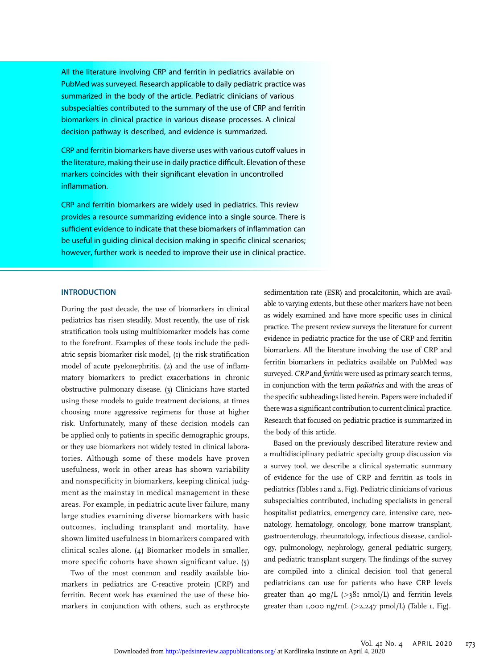All the literature involving CRP and ferritin in pediatrics available on PubMed was surveyed. Research applicable to daily pediatric practice was summarized in the body of the article. Pediatric clinicians of various subspecialties contributed to the summary of the use of CRP and ferritin biomarkers in clinical practice in various disease processes. A clinical decision pathway is described, and evidence is summarized.

CRP and ferritin biomarkers have diverse uses with various cutoff values in the literature, making their use in daily practice difficult. Elevation of these markers coincides with their significant elevation in uncontrolled inflammation.

CRP and ferritin biomarkers are widely used in pediatrics. This review provides a resource summarizing evidence into a single source. There is sufficient evidence to indicate that these biomarkers of inflammation can be useful in quiding clinical decision making in specific clinical scenarios; however, further work is needed to improve their use in clinical practice.

#### **INTRODUCTION**

During the past decade, the use of biomarkers in clinical pediatrics has risen steadily. Most recently, the use of risk stratification tools using multibiomarker models has come to the forefront. Examples of these tools include the pediatric sepsis biomarker risk model, (1) the risk stratification model of acute pyelonephritis, (2) and the use of inflammatory biomarkers to predict exacerbations in chronic obstructive pulmonary disease. (3) Clinicians have started using these models to guide treatment decisions, at times choosing more aggressive regimens for those at higher risk. Unfortunately, many of these decision models can be applied only to patients in specific demographic groups, or they use biomarkers not widely tested in clinical laboratories. Although some of these models have proven usefulness, work in other areas has shown variability and nonspecificity in biomarkers, keeping clinical judgment as the mainstay in medical management in these areas. For example, in pediatric acute liver failure, many large studies examining diverse biomarkers with basic outcomes, including transplant and mortality, have shown limited usefulness in biomarkers compared with clinical scales alone. (4) Biomarker models in smaller, more specific cohorts have shown significant value. (5)

Two of the most common and readily available biomarkers in pediatrics are C-reactive protein (CRP) and ferritin. Recent work has examined the use of these biomarkers in conjunction with others, such as erythrocyte

sedimentation rate (ESR) and procalcitonin, which are available to varying extents, but these other markers have not been as widely examined and have more specific uses in clinical practice. The present review surveys the literature for current evidence in pediatric practice for the use of CRP and ferritin biomarkers. All the literature involving the use of CRP and ferritin biomarkers in pediatrics available on PubMed was surveyed. CRP and ferritin were used as primary search terms, in conjunction with the term pediatrics and with the areas of the specific subheadings listed herein. Papers were included if there was a significant contribution to current clinical practice. Research that focused on pediatric practice is summarized in the body of this article.

Based on the previously described literature review and a multidisciplinary pediatric specialty group discussion via a survey tool, we describe a clinical systematic summary of evidence for the use of CRP and ferritin as tools in pediatrics (Tables 1 and 2, Fig). Pediatric clinicians of various subspecialties contributed, including specialists in general hospitalist pediatrics, emergency care, intensive care, neonatology, hematology, oncology, bone marrow transplant, gastroenterology, rheumatology, infectious disease, cardiology, pulmonology, nephrology, general pediatric surgery, and pediatric transplant surgery. The findings of the survey are compiled into a clinical decision tool that general pediatricians can use for patients who have CRP levels greater than 40 mg/L ( $>38$ I nmol/L) and ferritin levels greater than 1,000 ng/mL  $(>2,247 \text{ pmol/L})$  (Table 1, Fig).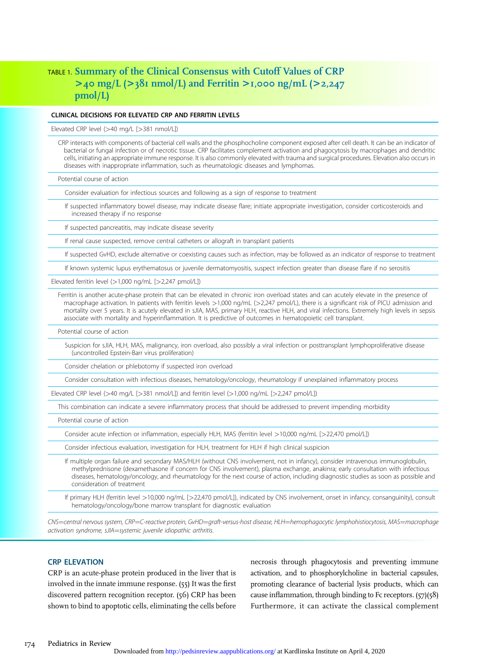# TABLE 1. Summary of the Clinical Consensus with Cutoff Values of CRP  $>$ 40 mg/L ( $>$ 381 nmol/L) and Ferritin  $>$ 1,000 ng/mL ( $>$ 2,247 pmol/L)

# CLINICAL DECISIONS FOR ELEVATED CRP AND FERRITIN LEVELS

Elevated CRP level (>40 mg/L [>381 nmol/L])

CRP interacts with components of bacterial cell walls and the phosphocholine component exposed after cell death. It can be an indicator of bacterial or fungal infection or of necrotic tissue. CRP facilitates complement activation and phagocytosis by macrophages and dendritic cells, initiating an appropriate immune response. It is also commonly elevated with trauma and surgical procedures. Elevation also occurs in diseases with inappropriate inflammation, such as rheumatologic diseases and lymphomas.

Potential course of action

Consider evaluation for infectious sources and following as a sign of response to treatment

If suspected inflammatory bowel disease, may indicate disease flare; initiate appropriate investigation, consider corticosteroids and increased therapy if no response

If suspected pancreatitis, may indicate disease severity

If renal cause suspected, remove central catheters or allograft in transplant patients

If suspected GvHD, exclude alternative or coexisting causes such as infection, may be followed as an indicator of response to treatment

If known systemic lupus erythematosus or juvenile dermatomyositis, suspect infection greater than disease flare if no serositis

Elevated ferritin level  $(>1,000$  ng/mL  $[>2,247$  pmol/L])

Ferritin is another acute-phase protein that can be elevated in chronic iron overload states and can acutely elevate in the presence of macrophage activation. In patients with ferritin levels >1,000 ng/mL (>2,247 pmol/L), there is a significant risk of PICU admission and mortality over 5 years. It is acutely elevated in sJIA, MAS, primary HLH, reactive HLH, and viral infections. Extremely high levels in sepsis associate with mortality and hyperinflammation. It is predictive of outcomes in hematopoietic cell transplant.

Potential course of action

Suspicion for sJIA, HLH, MAS, malignancy, iron overload, also possibly a viral infection or posttransplant lymphoproliferative disease (uncontrolled Epstein-Barr virus proliferation)

Consider chelation or phlebotomy if suspected iron overload

Consider consultation with infectious diseases, hematology/oncology, rheumatology if unexplained inflammatory process

Elevated CRP level (>40 mg/L [>381 nmol/L]) and ferritin level (>1,000 ng/mL [>2,247 pmol/L])

This combination can indicate a severe inflammatory process that should be addressed to prevent impending morbidity

Potential course of action

Consider acute infection or inflammation, especially HLH, MAS (ferritin level >10,000 ng/mL [>22,470 pmol/L])

Consider infectious evaluation, investigation for HLH, treatment for HLH if high clinical suspicion

If multiple organ failure and secondary MAS/HLH (without CNS involvement, not in infancy), consider intravenous immunoglobulin, methylprednisone (dexamethasone if concern for CNS involvement), plasma exchange, anakinra; early consultation with infectious diseases, hematology/oncology, and rheumatology for the next course of action, including diagnostic studies as soon as possible and consideration of treatment

If primary HLH (ferritin level >10,000 ng/mL [>22,470 pmol/L]), indicated by CNS involvement, onset in infancy, consanguinity), consult hematology/oncology/bone marrow transplant for diagnostic evaluation

CNS=central nervous system, CRP=C-reactive protein, GvHD=qraft-versus-host disease, HLH=hemophagocytic lymphohistiocytosis, MAS=macrophage activation syndrome, sJIA=systemic juvenile idiopathic arthritis.

#### **CRP ELEVATION**

**CRP** is an acute-phase protein produced in the liver that is involved in the innate immune response. (55) It was the first discovered pattern recognition receptor. (56) CRP has been shown to bind to apoptotic cells, eliminating the cells before

necrosis through phagocytosis and preventing immune activation, and to phosphorylcholine in bacterial capsules, promoting clearance of bacterial lysis products, which can cause inflammation, through binding to Fc receptors. (57)(58) Furthermore, it can activate the classical complement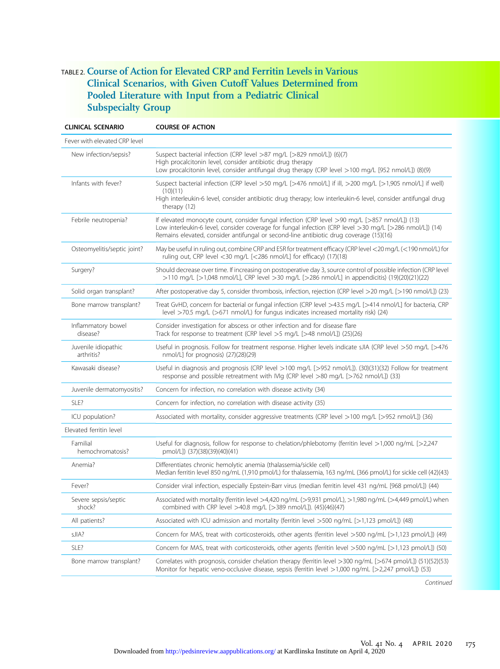# TABLE 2. Course of Action for Elevated CRP and Ferritin Levels in Various Clinical Scenarios, with Given Cutoff Values Determined from Pooled Literature with Input from a Pediatric Clinical Subspecialty Group

| <b>CLINICAL SCENARIO</b>          | <b>COURSE OF ACTION</b>                                                                                                                                                                                                                                                                            |  |
|-----------------------------------|----------------------------------------------------------------------------------------------------------------------------------------------------------------------------------------------------------------------------------------------------------------------------------------------------|--|
| Fever with elevated CRP level     |                                                                                                                                                                                                                                                                                                    |  |
| New infection/sepsis?             | Suspect bacterial infection (CRP level >87 mg/L [>829 nmol/L]) (6)(7)<br>High procalcitonin level, consider antibiotic drug therapy<br>Low procalcitonin level, consider antifungal drug therapy (CRP level >100 mg/L [952 nmol/L]) (8)(9)                                                         |  |
| Infants with fever?               | Suspect bacterial infection (CRP level >50 mg/L [>476 nmol/L] if ill, >200 mg/L [>1,905 nmol/L] if well)<br>(10)(11)<br>High interleukin-6 level, consider antibiotic drug therapy; low interleukin-6 level, consider antifungal drug<br>therapy (12)                                              |  |
| Febrile neutropenia?              | If elevated monocyte count, consider fungal infection (CRP level >90 mg/L [>857 nmol/L]) (13)<br>Low interleukin-6 level, consider coverage for fungal infection (CRP level >30 mg/L [>286 nmol/L]) (14)<br>Remains elevated, consider antifungal or second-line antibiotic drug coverage (15)(16) |  |
| Osteomyelitis/septic joint?       | May be useful in ruling out, combine CRP and ESR for treatment efficacy (CRP level <20 mg/L (<190 nmol/L) for<br>ruling out, CRP level <30 mg/L [<286 nmol/L] for efficacy) (17)(18)                                                                                                               |  |
| Surgery?                          | Should decrease over time. If increasing on postoperative day 3, source control of possible infection (CRP level<br>>110 mg/L [>1,048 nmol/L], CRP level >30 mg/L [>286 nmol/L] in appendicitis) (19)(20)(21)(22)                                                                                  |  |
| Solid organ transplant?           | After postoperative day 5, consider thrombosis, infection, rejection (CRP level >20 mq/L [>190 nmol/L]) (23)                                                                                                                                                                                       |  |
| Bone marrow transplant?           | Treat GvHD, concern for bacterial or fungal infection (CRP level >43.5 mg/L [>414 nmol/L] for bacteria, CRP<br>level >70.5 mg/L (>671 nmol/L) for fungus indicates increased mortality risk) (24)                                                                                                  |  |
| Inflammatory bowel<br>disease?    | Consider investigation for abscess or other infection and for disease flare<br>Track for response to treatment (CRP level >5 mg/L [>48 nmol/L]) (25)(26)                                                                                                                                           |  |
| Juvenile idiopathic<br>arthritis? | Useful in prognosis. Follow for treatment response. Higher levels indicate sJIA (CRP level >50 mg/L [>476<br>nmol/L] for prognosis) (27)(28)(29)                                                                                                                                                   |  |
| Kawasaki disease?                 | Useful in diagnosis and prognosis (CRP level >100 mg/L [>952 nmol/L]). (30)(31)(32) Follow for treatment<br>response and possible retreatment with IVIq (CRP level >80 mq/L [>762 nmol/L]) (33)                                                                                                    |  |
| Juvenile dermatomyositis?         | Concern for infection, no correlation with disease activity (34)                                                                                                                                                                                                                                   |  |
| SLE?                              | Concern for infection, no correlation with disease activity (35)                                                                                                                                                                                                                                   |  |
| ICU population?                   | Associated with mortality, consider aggressive treatments (CRP level >100 mg/L [>952 nmol/L]) (36)                                                                                                                                                                                                 |  |
| Elevated ferritin level           |                                                                                                                                                                                                                                                                                                    |  |
| Familial<br>hemochromatosis?      | Useful for diagnosis, follow for response to chelation/phlebotomy (ferritin level >1,000 ng/mL [>2,247<br>pmol/L]) (37)(38)(39)(40)(41)                                                                                                                                                            |  |
| Anemia?                           | Differentiates chronic hemolytic anemia (thalassemia/sickle cell)<br>Median ferritin level 850 ng/mL (1,910 pmol/L) for thalassemia, 163 ng/mL (366 pmol/L) for sickle cell (42)(43)                                                                                                               |  |
| Fever?                            | Consider viral infection, especially Epstein-Barr virus (median ferritin level 431 ng/mL [968 pmol/L]) (44)                                                                                                                                                                                        |  |
| Severe sepsis/septic<br>shock?    | Associated with mortality (ferritin level >4,420 ng/mL (>9,931 pmol/L), >1,980 ng/mL (>4,449 pmol/L) when<br>combined with CRP level >40.8 mg/L [>389 nmol/L]). (45)(46)(47)                                                                                                                       |  |
| All patients?                     | Associated with ICU admission and mortality (ferritin level >500 ng/mL [>1,123 pmol/L]) (48)                                                                                                                                                                                                       |  |
| sJIA?                             | Concern for MAS, treat with corticosteroids, other agents (ferritin level >500 ng/mL [>1,123 pmol/L]) (49)                                                                                                                                                                                         |  |
| SLE?                              | Concern for MAS, treat with corticosteroids, other agents (ferritin level >500 ng/mL [>1,123 pmol/L]) (50)                                                                                                                                                                                         |  |
| Bone marrow transplant?           | Correlates with prognosis, consider chelation therapy (ferritin level >300 ng/mL [>674 pmol/L]) (51)(52)(53)<br>Monitor for hepatic veno-occlusive disease, sepsis (ferritin level >1,000 ng/mL [>2,247 pmol/L]) (53)                                                                              |  |

Continued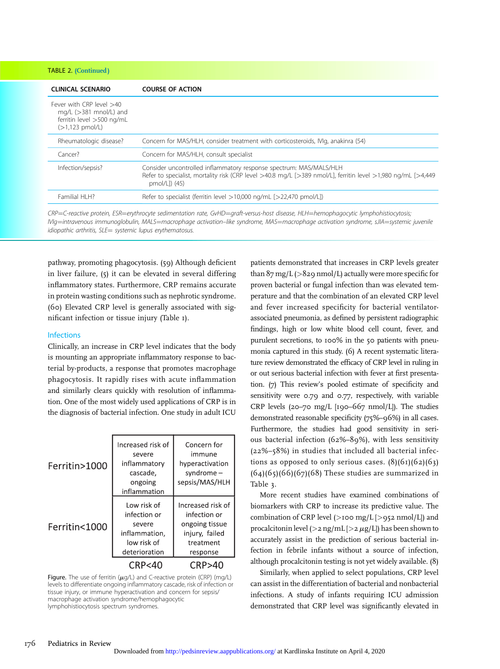TABLE 2. (Continued )

| <b>CLINICAL SCENARIO</b>                                                                                         | <b>COURSE OF ACTION</b>                                                                                                                                                                             |
|------------------------------------------------------------------------------------------------------------------|-----------------------------------------------------------------------------------------------------------------------------------------------------------------------------------------------------|
| Fever with CRP level $>40$<br>mg/L $(>381$ mnol/L) and<br>ferritin level >500 ng/mL<br>$(>1,123 \text{ pmol/L})$ |                                                                                                                                                                                                     |
| Rheumatologic disease?                                                                                           | Concern for MAS/HLH, consider treatment with corticosteroids, IVIq, anakinra (54)                                                                                                                   |
| Cancer?                                                                                                          | Concern for MAS/HLH, consult specialist                                                                                                                                                             |
| Infection/sepsis?                                                                                                | Consider uncontrolled inflammatory response spectrum: MAS/MALS/HLH<br>Refer to specialist, mortality risk (CRP level >40.8 mg/L [>389 nmol/L], ferritin level >1,980 ng/mL [>4,449<br>pmol/L]) (45) |
| Familial HI H?                                                                                                   | Refer to specialist (ferritin level >10,000 ng/mL [>22,470 pmol/L])                                                                                                                                 |

CRP=C-reactive protein, ESR=erythrocyte sedimentation rate, GvHD=graft-versus-host disease, HLH=hemophagocytic lymphohistiocytosis; IVIg=intravenous immunoglobulin, MALS=macrophage activation-like syndrome, MAS=macrophage activation syndrome, sJIA=systemic juvenile  $idi$ opathic arthritis,  $SLE =$  systemic lupus erythematosus.

pathway, promoting phagocytosis. (59) Although deficient in liver failure, (5) it can be elevated in several differing inflammatory states. Furthermore, CRP remains accurate in protein wasting conditions such as nephrotic syndrome. (60) Elevated CRP level is generally associated with significant infection or tissue injury (Table 1).

#### Infections

Clinically, an increase in CRP level indicates that the body is mounting an appropriate inflammatory response to bacterial by-products, a response that promotes macrophage phagocytosis. It rapidly rises with acute inflammation and similarly clears quickly with resolution of inflammation. One of the most widely used applications of CRP is in the diagnosis of bacterial infection. One study in adult ICU

| Ferritin>1000 | Increased risk of<br>severe<br>inflammatory<br>cascade,<br>ongoing<br>inflammation     | Concern for<br>immune<br>hyperactivation<br>syndrome $-$<br>sepsis/MAS/HLH                     |
|---------------|----------------------------------------------------------------------------------------|------------------------------------------------------------------------------------------------|
| Ferritin<1000 | Low risk of<br>infection or<br>severe<br>inflammation,<br>low risk of<br>deterioration | Increased risk of<br>infection or<br>ongoing tissue<br>injury, failed<br>treatment<br>response |
|               | CRP<40                                                                                 | CRP>40                                                                                         |

Figure. The use of ferritin  $(\mu q/L)$  and C-reactive protein (CRP) (mg/L) levels to differentiate ongoing inflammatory cascade, risk of infection or tissue injury, or immune hyperactivation and concern for sepsis/ macrophage activation syndrome/hemophagocytic lymphohistiocytosis spectrum syndromes.

patients demonstrated that increases in CRP levels greater than  $87 \text{ mg/L}$  ( $>829 \text{ nmol/L}$ ) actually were more specific for proven bacterial or fungal infection than was elevated temperature and that the combination of an elevated CRP level and fever increased specificity for bacterial ventilatorassociated pneumonia, as defined by persistent radiographic findings, high or low white blood cell count, fever, and purulent secretions, to 100% in the 50 patients with pneumonia captured in this study. (6) A recent systematic literature review demonstrated the efficacy of CRP level in ruling in or out serious bacterial infection with fever at first presentation. (7) This review's pooled estimate of specificity and sensitivity were 0.79 and 0.77, respectively, with variable CRP levels (20–70 mg/L [190–667 nmol/L]). The studies demonstrated reasonable specificity (75%–96%) in all cases. Furthermore, the studies had good sensitivity in serious bacterial infection (62%–89%), with less sensitivity (22%–58%) in studies that included all bacterial infections as opposed to only serious cases.  $(8)(61)(62)(63)$  $(64)(65)(66)(67)(68)$  These studies are summarized in Table 3.

More recent studies have examined combinations of biomarkers with CRP to increase its predictive value. The combination of CRP level ( $>$ 100 mg/L  $[>$ 952 nmol/L $]$ ) and procalcitonin level ( $>$ 2 ng/mL [ $>$ 2  $\mu$ g/L]) has been shown to accurately assist in the prediction of serious bacterial infection in febrile infants without a source of infection, although procalcitonin testing is not yet widely available. (8)

Similarly, when applied to select populations, CRP level can assist in the differentiation of bacterial and nonbacterial infections. A study of infants requiring ICU admission demonstrated that CRP level was significantly elevated in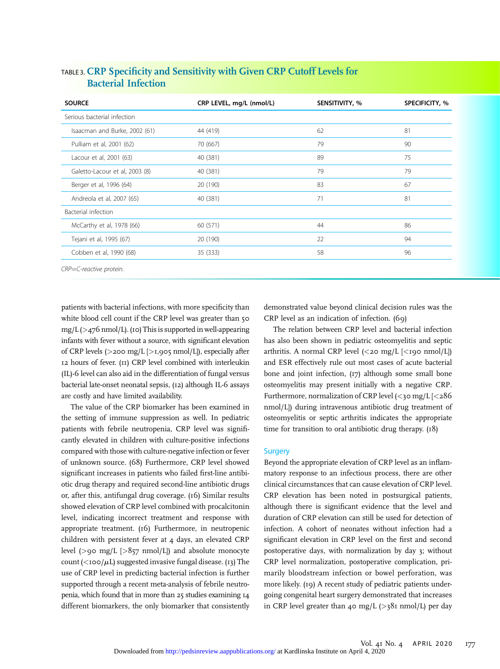| <b>SOURCE</b>                  | CRP LEVEL, mg/L (nmol/L) | SENSITIVITY, % | SPECIFICITY, % |
|--------------------------------|--------------------------|----------------|----------------|
| Serious bacterial infection    |                          |                |                |
| Isaacman and Burke, 2002 (61)  | 44 (419)                 | 62             | 81             |
| Pulliam et al, 2001 (62)       | 70 (667)                 | 79             | 90             |
| Lacour et al, 2001 (63)        | 40 (381)                 | 89             | 75             |
| Galetto-Lacour et al, 2003 (8) | 40 (381)                 | 79             | 79             |
| Berger et al, 1996 (64)        | 20 (190)                 | 83             | 67             |
| Andreola et al, 2007 (65)      | 40 (381)                 | 71             | 81             |
| Bacterial infection            |                          |                |                |
| McCarthy et al, 1978 (66)      | 60 (571)                 | 44             | 86             |
| Tejani et al, 1995 (67)        | 20 (190)                 | 22             | 94             |
| Cobben et al, 1990 (68)        | 35 (333)                 | 58             | 96             |
| CRP=C-reactive protein.        |                          |                |                |

# TABLE 3. CRP Specificity and Sensitivity with Given CRP Cutoff Levels for Bacterial Infection

patients with bacterial infections, with more specificity than white blood cell count if the CRP level was greater than 50 mg/L (>476 nmol/L). (10) This is supported in well-appearing infants with fever without a source, with significant elevation of CRP levels (>200 mg/L [>1,905 nmol/L]), especially after 12 hours of fever. (11) CRP level combined with interleukin (IL)-6 level can also aid in the differentiation of fungal versus bacterial late-onset neonatal sepsis, (12) although IL-6 assays are costly and have limited availability.

The value of the CRP biomarker has been examined in the setting of immune suppression as well. In pediatric patients with febrile neutropenia, CRP level was significantly elevated in children with culture-positive infections compared with those with culture-negative infection or fever of unknown source. (68) Furthermore, CRP level showed significant increases in patients who failed first-line antibiotic drug therapy and required second-line antibiotic drugs or, after this, antifungal drug coverage. (16) Similar results showed elevation of CRP level combined with procalcitonin level, indicating incorrect treatment and response with appropriate treatment. (16) Furthermore, in neutropenic children with persistent fever at 4 days, an elevated CRP level ( $> 90$  mg/L  $[>857 \text{ nmol/L}]$ ) and absolute monocyte count ( $\langle 100/\mu L \rangle$ ) suggested invasive fungal disease. (13) The use of CRP level in predicting bacterial infection is further supported through a recent meta-analysis of febrile neutropenia, which found that in more than 25 studies examining 14 different biomarkers, the only biomarker that consistently

demonstrated value beyond clinical decision rules was the CRP level as an indication of infection. (69)

The relation between CRP level and bacterial infection has also been shown in pediatric osteomyelitis and septic arthritis. A normal CRP level  $\langle$ <20 mg/L  $\langle$ <190 nmol/L $\rangle$ ) and ESR effectively rule out most cases of acute bacterial bone and joint infection, (17) although some small bone osteomyelitis may present initially with a negative CRP. Furthermore, normalization of CRP level  $\left| \langle 30 \rangle \right|$  mg/L  $\left| \langle 286 \rangle \right|$ nmol/L]) during intravenous antibiotic drug treatment of osteomyelitis or septic arthritis indicates the appropriate time for transition to oral antibiotic drug therapy. (18)

#### **Surgery**

Beyond the appropriate elevation of CRP level as an inflammatory response to an infectious process, there are other clinical circumstances that can cause elevation of CRP level. CRP elevation has been noted in postsurgical patients, although there is significant evidence that the level and duration of CRP elevation can still be used for detection of infection. A cohort of neonates without infection had a significant elevation in CRP level on the first and second postoperative days, with normalization by day 3; without CRP level normalization, postoperative complication, primarily bloodstream infection or bowel perforation, was more likely. (19) A recent study of pediatric patients undergoing congenital heart surgery demonstrated that increases in CRP level greater than 40 mg/L ( $>38$ I nmol/L) per day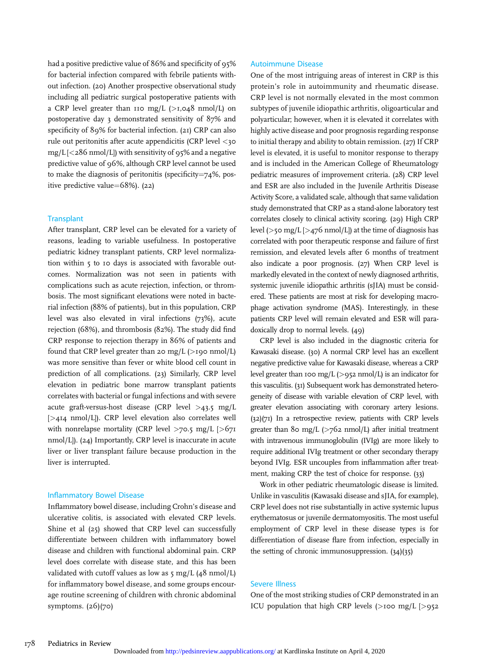had a positive predictive value of 86% and specificity of 95% for bacterial infection compared with febrile patients without infection. (20) Another prospective observational study including all pediatric surgical postoperative patients with a CRP level greater than 110 mg/L ( $>1,048$  nmol/L) on postoperative day 3 demonstrated sensitivity of 87% and specificity of 89% for bacterial infection. (21) CRP can also rule out peritonitis after acute appendicitis (CRP level <30 mg/L  $[<$  286 nmol/L]) with sensitivity of 95% and a negative predictive value of 96%, although CRP level cannot be used to make the diagnosis of peritonitis (specificity $=$ 74%, positive predictive value= $68\%$ ). (22)

#### **Transplant**

After transplant, CRP level can be elevated for a variety of reasons, leading to variable usefulness. In postoperative pediatric kidney transplant patients, CRP level normalization within 5 to 10 days is associated with favorable outcomes. Normalization was not seen in patients with complications such as acute rejection, infection, or thrombosis. The most significant elevations were noted in bacterial infection (88% of patients), but in this population, CRP level was also elevated in viral infections (73%), acute rejection (68%), and thrombosis (82%). The study did find CRP response to rejection therapy in 86% of patients and found that CRP level greater than 20 mg/L ( $>$ 190 nmol/L) was more sensitive than fever or white blood cell count in prediction of all complications. (23) Similarly, CRP level elevation in pediatric bone marrow transplant patients correlates with bacterial or fungal infections and with severe acute graft-versus-host disease (CRP level >43.5 mg/L [>414 nmol/L]). CRP level elevation also correlates well with nonrelapse mortality (CRP level  $>70.5$  mg/L  $[>671]$ nmol/L]). (24) Importantly, CRP level is inaccurate in acute liver or liver transplant failure because production in the liver is interrupted.

#### Inflammatory Bowel Disease

Inflammatory bowel disease, including Crohn's disease and ulcerative colitis, is associated with elevated CRP levels. Shine et al (25) showed that CRP level can successfully differentiate between children with inflammatory bowel disease and children with functional abdominal pain. CRP level does correlate with disease state, and this has been validated with cutoff values as low as  $\frac{5}{9}$  mg/L (48 nmol/L) for inflammatory bowel disease, and some groups encourage routine screening of children with chronic abdominal symptoms. (26)(70)

#### Autoimmune Disease

One of the most intriguing areas of interest in CRP is this protein's role in autoimmunity and rheumatic disease. CRP level is not normally elevated in the most common subtypes of juvenile idiopathic arthritis, oligoarticular and polyarticular; however, when it is elevated it correlates with highly active disease and poor prognosis regarding response to initial therapy and ability to obtain remission. (27) If CRP level is elevated, it is useful to monitor response to therapy and is included in the American College of Rheumatology pediatric measures of improvement criteria. (28) CRP level and ESR are also included in the Juvenile Arthritis Disease Activity Score, a validated scale, although that same validation study demonstrated that CRP as a stand-alone laboratory test correlates closely to clinical activity scoring. (29) High CRP level ( $>$ 50 mg/L [ $>$ 476 nmol/L]) at the time of diagnosis has correlated with poor therapeutic response and failure of first remission, and elevated levels after 6 months of treatment also indicate a poor prognosis. (27) When CRP level is markedly elevated in the context of newly diagnosed arthritis, systemic juvenile idiopathic arthritis (sJIA) must be considered. These patients are most at risk for developing macrophage activation syndrome (MAS). Interestingly, in these patients CRP level will remain elevated and ESR will paradoxically drop to normal levels. (49)

CRP level is also included in the diagnostic criteria for Kawasaki disease. (30) A normal CRP level has an excellent negative predictive value for Kawasaki disease, whereas a CRP level greater than 100 mg/L ( $>$ 952 nmol/L) is an indicator for this vasculitis. (31) Subsequent work has demonstrated heterogeneity of disease with variable elevation of CRP level, with greater elevation associating with coronary artery lesions. (32)(71) In a retrospective review, patients with CRP levels greater than 80 mg/L  $(>\frac{762}{2}$  nmol/L) after initial treatment with intravenous immunoglobulin (IVIg) are more likely to require additional IVIg treatment or other secondary therapy beyond IVIg. ESR uncouples from inflammation after treatment, making CRP the test of choice for response. (33)

Work in other pediatric rheumatologic disease is limited. Unlike in vasculitis (Kawasaki disease and sJIA, for example), CRP level does not rise substantially in active systemic lupus erythematosus or juvenile dermatomyositis. The most useful employment of CRP level in these disease types is for differentiation of disease flare from infection, especially in the setting of chronic immunosuppression. (34)(35)

### Severe Illness

One of the most striking studies of CRP demonstrated in an ICU population that high CRP levels  $(>100$  mg/L  $[>0.52]$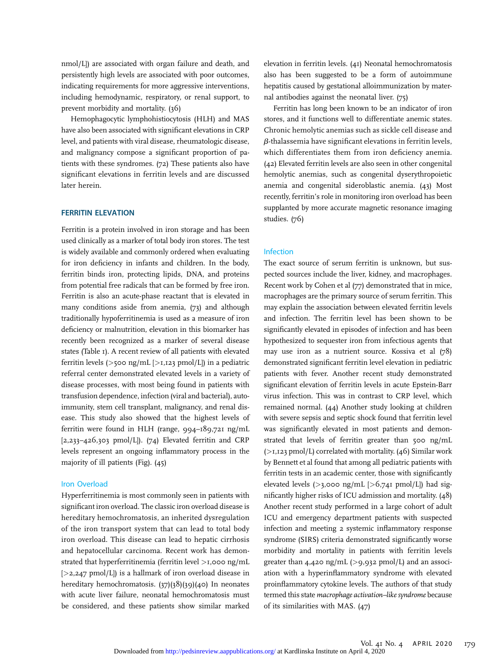nmol/L]) are associated with organ failure and death, and persistently high levels are associated with poor outcomes, indicating requirements for more aggressive interventions, including hemodynamic, respiratory, or renal support, to prevent morbidity and mortality. (36)

Hemophagocytic lymphohistiocytosis (HLH) and MAS have also been associated with significant elevations in CRP level, and patients with viral disease, rheumatologic disease, and malignancy compose a significant proportion of patients with these syndromes. (72) These patients also have significant elevations in ferritin levels and are discussed later herein.

Ferritin is a protein involved in iron storage and has been used clinically as a marker of total body iron stores. The test is widely available and commonly ordered when evaluating for iron deficiency in infants and children. In the body, ferritin binds iron, protecting lipids, DNA, and proteins from potential free radicals that can be formed by free iron. Ferritin is also an acute-phase reactant that is elevated in many conditions aside from anemia, (73) and although traditionally hypoferritinemia is used as a measure of iron deficiency or malnutrition, elevation in this biomarker has recently been recognized as a marker of several disease states (Table 1). A recent review of all patients with elevated ferritin levels ( $>$ 500 ng/mL [ $>$ 1,123 pmol/L]) in a pediatric referral center demonstrated elevated levels in a variety of disease processes, with most being found in patients with transfusion dependence, infection (viral and bacterial), autoimmunity, stem cell transplant, malignancy, and renal disease. This study also showed that the highest levels of ferritin were found in HLH (range, 994–189,721 ng/mL [2,233–426,303 pmol/L]). (74) Elevated ferritin and CRP levels represent an ongoing inflammatory process in the majority of ill patients (Fig). (45)

#### Iron Overload

Hyperferritinemia is most commonly seen in patients with significant iron overload. The classic iron overload disease is hereditary hemochromatosis, an inherited dysregulation of the iron transport system that can lead to total body iron overload. This disease can lead to hepatic cirrhosis and hepatocellular carcinoma. Recent work has demonstrated that hyperferritinemia (ferritin level >1,000 ng/mL  $[>2,247 \text{ pmol/L}]$  is a hallmark of iron overload disease in hereditary hemochromatosis. (37)(38)(39)(40) In neonates with acute liver failure, neonatal hemochromatosis must be considered, and these patients show similar marked

elevation in ferritin levels. (41) Neonatal hemochromatosis also has been suggested to be a form of autoimmune hepatitis caused by gestational alloimmunization by maternal antibodies against the neonatal liver. (75)

Ferritin has long been known to be an indicator of iron stores, and it functions well to differentiate anemic states. Chronic hemolytic anemias such as sickle cell disease and  $\beta$ -thalassemia have significant elevations in ferritin levels, which differentiates them from iron deficiency anemia. (42) Elevated ferritin levels are also seen in other congenital hemolytic anemias, such as congenital dyserythropoietic anemia and congenital sideroblastic anemia. (43) Most recently, ferritin's role in monitoring iron overload has been supplanted by more accurate magnetic resonance imaging studies. (76)

#### Infection

The exact source of serum ferritin is unknown, but suspected sources include the liver, kidney, and macrophages. Recent work by Cohen et al (77) demonstrated that in mice, macrophages are the primary source of serum ferritin. This may explain the association between elevated ferritin levels and infection. The ferritin level has been shown to be significantly elevated in episodes of infection and has been hypothesized to sequester iron from infectious agents that may use iron as a nutrient source. Kossiva et al (78) demonstrated significant ferritin level elevation in pediatric patients with fever. Another recent study demonstrated significant elevation of ferritin levels in acute Epstein-Barr virus infection. This was in contrast to CRP level, which remained normal. (44) Another study looking at children with severe sepsis and septic shock found that ferritin level was significantly elevated in most patients and demonstrated that levels of ferritin greater than 500 ng/mL  $(>1,123 \text{ pmol/L})$  correlated with mortality. (46) Similar work by Bennett et al found that among all pediatric patients with ferritin tests in an academic center, those with significantly elevated levels ( $>$ 3,000 ng/mL  $[>$ 6,741 pmol/L|) had significantly higher risks of ICU admission and mortality. (48) Another recent study performed in a large cohort of adult ICU and emergency department patients with suspected infection and meeting 2 systemic inflammatory response syndrome (SIRS) criteria demonstrated significantly worse morbidity and mortality in patients with ferritin levels greater than  $4,420$  ng/mL (>9,932 pmol/L) and an association with a hyperinflammatory syndrome with elevated proinflammatory cytokine levels. The authors of that study termed this state macrophage activation–like syndrome because of its similarities with MAS. (47)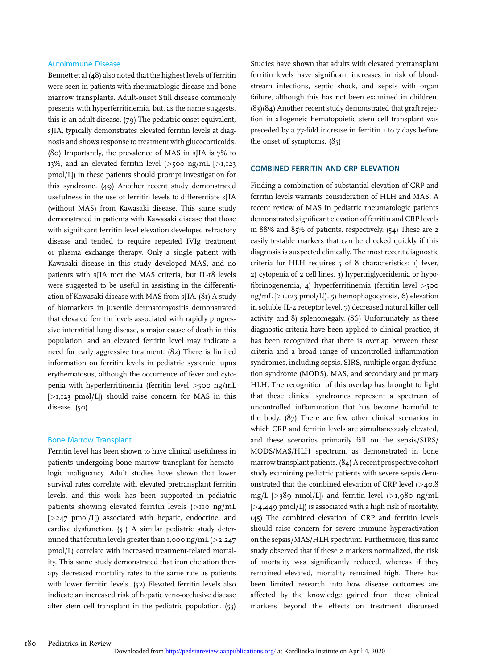#### Autoimmune Disease

Bennett et al (48) also noted that the highest levels of ferritin were seen in patients with rheumatologic disease and bone marrow transplants. Adult-onset Still disease commonly presents with hyperferritinemia, but, as the name suggests, this is an adult disease. (79) The pediatric-onset equivalent, sJIA, typically demonstrates elevated ferritin levels at diagnosis and shows response to treatment with glucocorticoids. (80) Importantly, the prevalence of MAS in sJIA is 7% to 13%, and an elevated ferritin level  $(>500 \text{ ng/mL}$   $>1,123$ pmol/L]) in these patients should prompt investigation for this syndrome. (49) Another recent study demonstrated usefulness in the use of ferritin levels to differentiate sJIA (without MAS) from Kawasaki disease. This same study demonstrated in patients with Kawasaki disease that those with significant ferritin level elevation developed refractory disease and tended to require repeated IVIg treatment or plasma exchange therapy. Only a single patient with Kawasaki disease in this study developed MAS, and no patients with sJIA met the MAS criteria, but IL-18 levels were suggested to be useful in assisting in the differentiation of Kawasaki disease with MAS from sJIA. (81) A study of biomarkers in juvenile dermatomyositis demonstrated that elevated ferritin levels associated with rapidly progressive interstitial lung disease, a major cause of death in this population, and an elevated ferritin level may indicate a need for early aggressive treatment. (82) There is limited information on ferritin levels in pediatric systemic lupus erythematosus, although the occurrence of fever and cytopenia with hyperferritinemia (ferritin level >500 ng/mL  $[>1,123 \text{ pmol/L}]$  should raise concern for MAS in this disease. (50)

#### Bone Marrow Transplant

Ferritin level has been shown to have clinical usefulness in patients undergoing bone marrow transplant for hematologic malignancy. Adult studies have shown that lower survival rates correlate with elevated pretransplant ferritin levels, and this work has been supported in pediatric patients showing elevated ferritin levels (>110 ng/mL [>247 pmol/L]) associated with hepatic, endocrine, and cardiac dysfunction. (51) A similar pediatric study determined that ferritin levels greater than 1,000 ng/mL  $(>2,247)$ pmol/L) correlate with increased treatment-related mortality. This same study demonstrated that iron chelation therapy decreased mortality rates to the same rate as patients with lower ferritin levels. (52) Elevated ferritin levels also indicate an increased risk of hepatic veno-occlusive disease after stem cell transplant in the pediatric population. (53)

Studies have shown that adults with elevated pretransplant ferritin levels have significant increases in risk of bloodstream infections, septic shock, and sepsis with organ failure, although this has not been examined in children. (83)(84) Another recent study demonstrated that graft rejection in allogeneic hematopoietic stem cell transplant was preceded by a 77-fold increase in ferritin 1 to 7 days before the onset of symptoms. (85)

Finding a combination of substantial elevation of CRP and ferritin levels warrants consideration of HLH and MAS. A recent review of MAS in pediatric rheumatologic patients demonstrated significant elevation of ferritin and CRP levels in 88% and 85% of patients, respectively. (54) These are 2 easily testable markers that can be checked quickly if this diagnosis is suspected clinically. The most recent diagnostic criteria for HLH requires 5 of 8 characteristics: 1) fever, 2) cytopenia of 2 cell lines, 3) hypertriglyceridemia or hypofibrinogenemia, 4) hyperferritinemia (ferritin level >500 ng/mL [>1,123 pmol/L]), 5) hemophagocytosis, 6) elevation in soluble IL-2 receptor level, 7) decreased natural killer cell activity, and 8) splenomegaly. (86) Unfortunately, as these diagnostic criteria have been applied to clinical practice, it has been recognized that there is overlap between these criteria and a broad range of uncontrolled inflammation syndromes, including sepsis, SIRS, multiple organ dysfunction syndrome (MODS), MAS, and secondary and primary HLH. The recognition of this overlap has brought to light that these clinical syndromes represent a spectrum of uncontrolled inflammation that has become harmful to the body. (87) There are few other clinical scenarios in which CRP and ferritin levels are simultaneously elevated, and these scenarios primarily fall on the sepsis/SIRS/ MODS/MAS/HLH spectrum, as demonstrated in bone marrow transplant patients. (84) A recent prospective cohort study examining pediatric patients with severe sepsis demonstrated that the combined elevation of CRP level (>40.8 mg/L  $[>389 \text{ nmol/L}]$  and ferritin level  $(>1.980 \text{ nm/L})$  $[>4,449 \text{ pmol/L}]$  is associated with a high risk of mortality. (45) The combined elevation of CRP and ferritin levels should raise concern for severe immune hyperactivation on the sepsis/MAS/HLH spectrum. Furthermore, this same study observed that if these 2 markers normalized, the risk of mortality was significantly reduced, whereas if they remained elevated, mortality remained high. There has been limited research into how disease outcomes are affected by the knowledge gained from these clinical markers beyond the effects on treatment discussed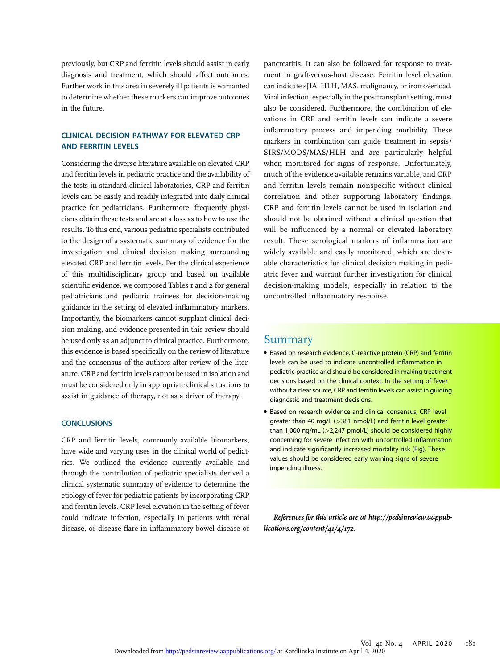previously, but CRP and ferritin levels should assist in early diagnosis and treatment, which should affect outcomes. Further work in this area in severely ill patients is warranted to determine whether these markers can improve outcomes in the future.

# CLINICAL DECISION PATHWAY FOR ELEVATED CRP

Considering the diverse literature available on elevated CRP and ferritin levels in pediatric practice and the availability of the tests in standard clinical laboratories, CRP and ferritin levels can be easily and readily integrated into daily clinical practice for pediatricians. Furthermore, frequently physicians obtain these tests and are at a loss as to how to use the results. To this end, various pediatric specialists contributed to the design of a systematic summary of evidence for the investigation and clinical decision making surrounding elevated CRP and ferritin levels. Per the clinical experience of this multidisciplinary group and based on available scientific evidence, we composed Tables I and 2 for general pediatricians and pediatric trainees for decision-making guidance in the setting of elevated inflammatory markers. Importantly, the biomarkers cannot supplant clinical decision making, and evidence presented in this review should be used only as an adjunct to clinical practice. Furthermore, this evidence is based specifically on the review of literature and the consensus of the authors after review of the literature. CRP and ferritin levels cannot be used in isolation and must be considered only in appropriate clinical situations to assist in guidance of therapy, not as a driver of therapy.

CRP and ferritin levels, commonly available biomarkers, have wide and varying uses in the clinical world of pediatrics. We outlined the evidence currently available and through the contribution of pediatric specialists derived a clinical systematic summary of evidence to determine the etiology of fever for pediatric patients by incorporating CRP and ferritin levels. CRP level elevation in the setting of fever could indicate infection, especially in patients with renal disease, or disease flare in inflammatory bowel disease or

pancreatitis. It can also be followed for response to treatment in graft-versus-host disease. Ferritin level elevation can indicate sJIA, HLH, MAS, malignancy, or iron overload. Viral infection, especially in the posttransplant setting, must also be considered. Furthermore, the combination of elevations in CRP and ferritin levels can indicate a severe inflammatory process and impending morbidity. These markers in combination can guide treatment in sepsis/ SIRS/MODS/MAS/HLH and are particularly helpful when monitored for signs of response. Unfortunately, much of the evidence available remains variable, and CRP and ferritin levels remain nonspecific without clinical correlation and other supporting laboratory findings. CRP and ferritin levels cannot be used in isolation and should not be obtained without a clinical question that will be influenced by a normal or elevated laboratory result. These serological markers of inflammation are widely available and easily monitored, which are desirable characteristics for clinical decision making in pediatric fever and warrant further investigation for clinical decision-making models, especially in relation to the uncontrolled inflammatory response.

### Summary

- Based on research evidence, C-reactive protein (CRP) and ferritin levels can be used to indicate uncontrolled inflammation in pediatric practice and should be considered in making treatment decisions based on the clinical context. In the setting of fever without a clear source, CRP and ferritin levels can assist in guiding diagnostic and treatment decisions.
- Based on research evidence and clinical consensus, CRP level greater than 40 mg/L (>381 nmol/L) and ferritin level greater than  $1,000$  ng/mL ( $>2,247$  pmol/L) should be considered highly concerning for severe infection with uncontrolled inflammation and indicate significantly increased mortality risk (Fig). These values should be considered early warning signs of severe impending illness.

References for this article are at [http://pedsinreview.aappub](http://pedsinreview.aappublications.org/content/41/4/172)[lications.org/content/41/4/172](http://pedsinreview.aappublications.org/content/41/4/172).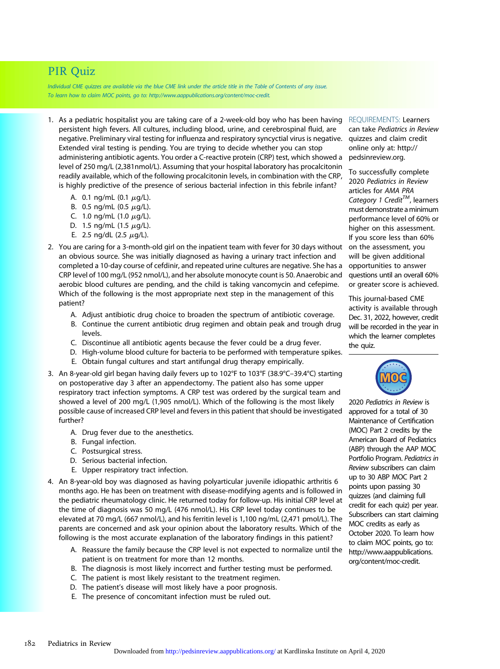# PIR Quiz

Individual CME quizzes are available via the blue CME link under the article title in the Table of Contents of any issue. To learn how to claim MOC points, go to: [http://www.aappublications.org/content/moc-credit.](http://www.aappublications.org/content/moc-credit)

- 1. As a pediatric hospitalist you are taking care of a 2-week-old boy who has been having persistent high fevers. All cultures, including blood, urine, and cerebrospinal fluid, are negative. Preliminary viral testing for influenza and respiratory syncyctial virus is negative. Extended viral testing is pending. You are trying to decide whether you can stop administering antibiotic agents. You order a C-reactive protein (CRP) test, which showed a level of 250 mg/L (2,381nmol/L). Assuming that your hospital laboratory has procalcitonin readily available, which of the following procalcitonin levels, in combination with the CRP, is highly predictive of the presence of serious bacterial infection in this febrile infant?
	- A. 0.1 ng/mL (0.1  $\mu$ g/L).
	- B. 0.5 ng/mL (0.5  $\mu$ g/L).
	- C. 1.0 ng/mL (1.0  $\mu$ g/L).
	- D. 1.5 ng/mL  $(1.5 \mu g/L)$ .
	- E. 2.5 ng/dL (2.5  $\mu$ g/L).
- 2. You are caring for a 3-month-old girl on the inpatient team with fever for 30 days without an obvious source. She was initially diagnosed as having a urinary tract infection and completed a 10-day course of cefdinir, and repeated urine cultures are negative. She has a CRP level of 100 mg/L (952 nmol/L), and her absolute monocyte count is 50. Anaerobic and aerobic blood cultures are pending, and the child is taking vancomycin and cefepime. Which of the following is the most appropriate next step in the management of this patient?
	- A. Adjust antibiotic drug choice to broaden the spectrum of antibiotic coverage.
	- B. Continue the current antibiotic drug regimen and obtain peak and trough drug levels.
	- C. Discontinue all antibiotic agents because the fever could be a drug fever.
	- D. High-volume blood culture for bacteria to be performed with temperature spikes.
	- E. Obtain fungal cultures and start antifungal drug therapy empirically.
- 3. An 8-year-old girl began having daily fevers up to  $102^{\circ}F$  to  $103^{\circ}F$  (38.9 $^{\circ}C$ –39.4 $^{\circ}C$ ) starting on postoperative day 3 after an appendectomy. The patient also has some upper respiratory tract infection symptoms. A CRP test was ordered by the surgical team and showed a level of 200 mg/L (1,905 nmol/L). Which of the following is the most likely possible cause of increased CRP level and fevers in this patient that should be investigated further?
	- A. Drug fever due to the anesthetics.
	- B. Fungal infection.
	- C. Postsurgical stress.
	- D. Serious bacterial infection.
	- E. Upper respiratory tract infection.
- 4. An 8-year-old boy was diagnosed as having polyarticular juvenile idiopathic arthritis 6 months ago. He has been on treatment with disease-modifying agents and is followed in the pediatric rheumatology clinic. He returned today for follow-up. His initial CRP level at the time of diagnosis was 50 mg/L (476 nmol/L). His CRP level today continues to be elevated at 70 mg/L (667 nmol/L), and his ferritin level is 1,100 ng/mL (2,471 pmol/L). The parents are concerned and ask your opinion about the laboratory results. Which of the following is the most accurate explanation of the laboratory findings in this patient?
	- A. Reassure the family because the CRP level is not expected to normalize until the patient is on treatment for more than 12 months.
	- B. The diagnosis is most likely incorrect and further testing must be performed.
	- C. The patient is most likely resistant to the treatment regimen.
	- D. The patient's disease will most likely have a poor prognosis.
	- E. The presence of concomitant infection must be ruled out.

REQUIREMENTS: Learners can take Pediatrics in Review quizzes and claim credit online only at: [http://](http://pedsinreview.org) [pedsinreview.org](http://pedsinreview.org).

To successfully complete 2020 Pediatrics in Review articles for AMA PRA Category 1 Credit<sup>TM</sup>, learners must demonstrate aminimum performance level of 60% or higher on this assessment. If you score less than 60% on the assessment, you will be given additional opportunities to answer questions until an overall 60% or greater score is achieved.

This journal-based CME activity is available through Dec. 31, 2022, however, credit will be recorded in the year in which the learner completes the quiz.



2020 Pediatrics in Review is approved for a total of 30 Maintenance of Certification (MOC) Part 2 credits by the American Board of Pediatrics (ABP) through the AAP MOC Portfolio Program. Pediatrics in Review subscribers can claim up to 30 ABP MOC Part 2 points upon passing 30 quizzes (and claiming full credit for each quiz) per year. Subscribers can start claiming MOC credits as early as October 2020. To learn how to claim MOC points, go to: [http://www.aappublications.](http://www.aappublications.org/content/moc-credit) [org/content/moc-credit.](http://www.aappublications.org/content/moc-credit)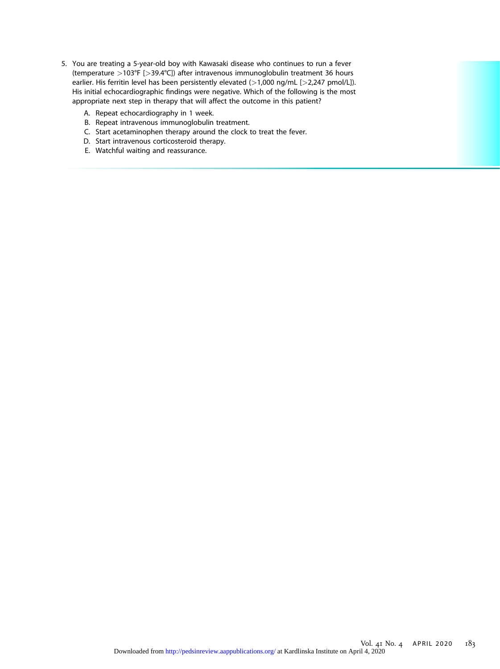- 5. You are treating a 5-year-old boy with Kawasaki disease who continues to run a fever (temperature >103°F [>39.4°C]) after intravenous immunoglobulin treatment 36 hours earlier. His ferritin level has been persistently elevated  $(>1,000$  ng/mL  $[>2,247$  pmol/L]). His initial echocardiographic findings were negative. Which of the following is the most appropriate next step in therapy that will affect the outcome in this patient?
	- A. Repeat echocardiography in 1 week.
	- B. Repeat intravenous immunoglobulin treatment.
	- C. Start acetaminophen therapy around the clock to treat the fever.
	- D. Start intravenous corticosteroid therapy.
	- E. Watchful waiting and reassurance.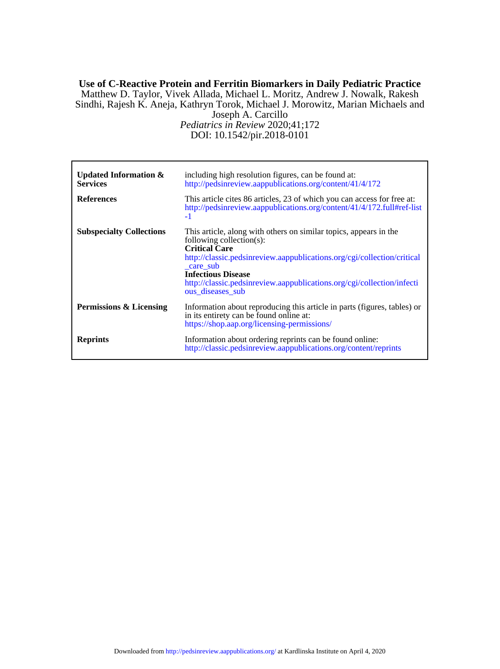## DOI: 10.1542/pir.2018-0101 *Pediatrics in Review* 2020;41;172 Joseph A. Carcillo Sindhi, Rajesh K. Aneja, Kathryn Torok, Michael J. Morowitz, Marian Michaels and Matthew D. Taylor, Vivek Allada, Michael L. Moritz, Andrew J. Nowalk, Rakesh **Use of C-Reactive Protein and Ferritin Biomarkers in Daily Pediatric Practice**

| <b>Updated Information &amp;</b><br><b>Services</b><br><b>References</b> | including high resolution figures, can be found at:<br>http://pedsinreview.aappublications.org/content/41/4/172<br>This article cites 86 articles, 23 of which you can access for free at:<br>http://pedsinreview.aappublications.org/content/41/4/172.full#ref-list |
|--------------------------------------------------------------------------|----------------------------------------------------------------------------------------------------------------------------------------------------------------------------------------------------------------------------------------------------------------------|
| <b>Subspecialty Collections</b>                                          | $-1$<br>This article, along with others on similar topics, appears in the<br>following collection(s):<br><b>Critical Care</b><br>http://classic.pedsinreview.aappublications.org/cgi/collection/critical                                                             |
|                                                                          | care sub<br><b>Infectious Disease</b><br>http://classic.pedsinreview.aappublications.org/cgi/collection/infecti<br>ous diseases sub                                                                                                                                  |
| Permissions & Licensing                                                  | Information about reproducing this article in parts (figures, tables) or<br>in its entirety can be found online at:<br>https://shop.aap.org/licensing-permissions/                                                                                                   |
| <b>Reprints</b>                                                          | Information about ordering reprints can be found online:<br>http://classic.pedsinreview.aappublications.org/content/reprints                                                                                                                                         |